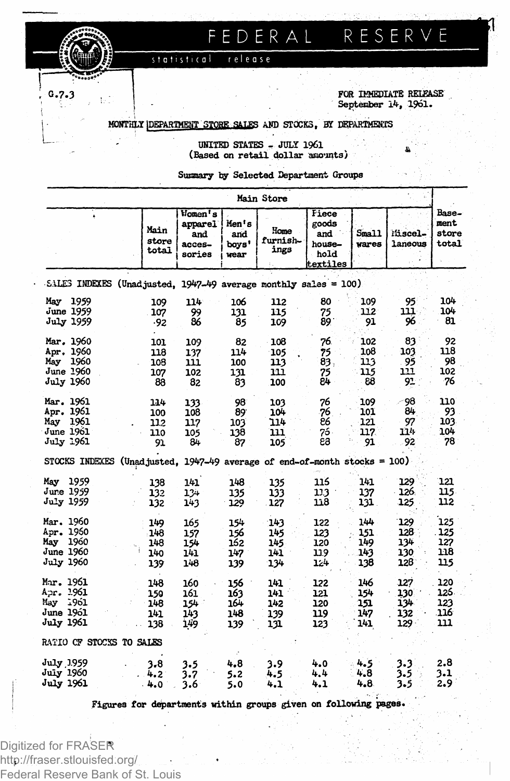FEDERAL RESERVE

**, G.7.3 I FOR IMMEDIATE RELEASE ; j September 14, 1961.**

**MONTHLY DEPARTMENT STORE SALES** AND **STOCKS**, BY DEPARTMENTS

release

statistical

 **UNITED STATES - JULY 1961 ^ & (Based on retail dollar amounts)**

**Summary by Selected Department Groups**

|                                                                               |                                                              |                                               |                                 | Main Store                       |                                                     |                                 |                                     |                                   |
|-------------------------------------------------------------------------------|--------------------------------------------------------------|-----------------------------------------------|---------------------------------|----------------------------------|-----------------------------------------------------|---------------------------------|-------------------------------------|-----------------------------------|
|                                                                               | Main<br>store<br>total                                       | Women's<br>apparel<br>and<br>acces-<br>sories | Men's<br>and<br>boys'<br>wear   | Home<br>furnish-<br>ings         | Fiece<br>goods<br>and<br>house-<br>hold<br>textiles | Small<br>wares                  | Miscel-<br>laneous                  | Base-<br>ment<br>store<br>total   |
| SALES INDEXES (Unadjusted, 1947-49 average monthly sales = 100)               |                                                              |                                               |                                 |                                  |                                                     |                                 |                                     |                                   |
| May<br>1959<br>June 1959<br><b>July 1959</b>                                  | 109<br>107<br>-92                                            | 114<br>99<br>86                               | 106<br>131<br>85                | 112<br>115<br>109                | 80<br>75<br>89                                      | 109<br>112<br>91                | 95<br>111.<br>96                    | 104<br>104<br>81                  |
| Mar. 1960<br>Apr. 1960<br>1960<br>May<br>June 1960<br>July 1960               | 101<br>118<br>108<br>107<br>88                               | 109<br>137<br>111<br>102<br>82                | 82<br>114<br>100<br>131<br>83   | 108<br>105<br>113<br>111<br>100  | 76.<br>75<br>83.<br>75<br>84                        | 102<br>108<br>113<br>115<br>88  | 83<br>103<br>95<br>111<br>91        | 92<br>118<br>98<br>102<br>76      |
| Mar. 1961<br>Apr. 1961<br>May<br>1961<br><b>June 1961</b><br><b>July 1961</b> | 114<br>100<br>112<br>110<br>91                               | 133<br>108<br>117<br>105<br>84                | 98<br>89<br>103<br>138<br>87    | 103<br>104<br>114<br>111<br>105  | 76<br>76<br>86<br>76.<br>63                         | 109<br>101<br>121<br>117<br>91  | 98<br>84<br>97<br>114<br>92         | 110<br>93<br>103<br>104<br>78     |
| STOCKS INDEXES                                                                | (Unadjusted, $1947-49$ average of end-of-month stocks = 100) |                                               |                                 |                                  |                                                     |                                 |                                     |                                   |
| May 1959<br>June 1959<br>July 1959                                            | 138<br>132<br>132                                            | 141<br>$12+$<br>143                           | 148<br>135<br>129               | 135<br>133<br>127                | 116<br>113<br>118                                   | 141<br>137<br>131.              | 129<br>126.<br>125                  | 121<br>115<br>112                 |
| Mar. 1960<br>Apr. 1960<br>May<br>1960<br>June 1960<br>July 1960               | 149<br>148<br>148<br>140<br>139                              | 165<br>157<br>154<br>141<br>148               | 154<br>156<br>162<br>147<br>139 | 143<br>145<br>145<br>141<br>134  | 122<br>123<br>120<br>119<br>124                     | 144<br>151<br>149<br>143<br>138 | 129<br>128<br>134<br>130<br>128     | 125<br>125<br>127<br>118<br>115   |
| Mar. 1961<br>Apr. 1961<br>May<br>-1961<br><b>June 1961</b><br>July 1961       | 148<br>150<br>148<br>141<br>138                              | 160<br>161<br>154<br>143<br>149               | 156<br>163<br>164<br>148<br>139 | 141<br>141.<br>142<br>139<br>131 | 122<br>121<br>120<br>119<br>123                     | 146<br>154<br>151<br>147<br>141 | 127<br>130<br>134<br>132<br>$129 -$ | 120<br>126.<br>123<br>.116<br>111 |
| RATIO OF STOCKS TO SALES                                                      |                                                              |                                               |                                 |                                  |                                                     |                                 |                                     |                                   |
| July 1959<br>July 1960<br><b>July 1961</b>                                    | 3.8<br>4.2<br>4.0                                            | 3.5<br>3.7<br>3.6                             | 4.8<br>5.2<br>5.0               | 3.9<br>4.5<br>4.1                | 4.0<br>4.4<br>4.1                                   | 4.5<br>4.8<br>4.8               | 3.3<br>3.5<br>3.5                   | 2.8<br>3.1<br>2.9                 |

**Figures for departments within groups given on following pages.**

Digitized for FRASER http://fraser.stlouisfed.org/ Federal Reserve Bank of St. Louis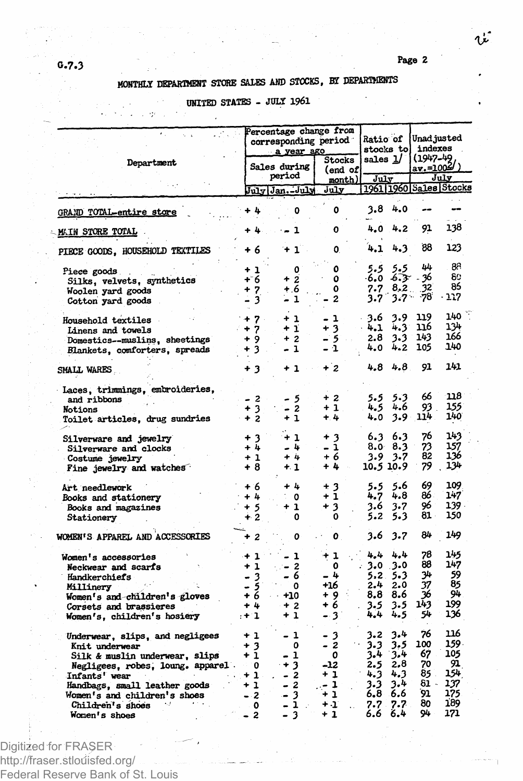**Pag e 2**

## **MONTHLY DEPARTMENT STORE SAXES AND STOCKS, BY DEPARTMENTS**

## **UNITED STATES - JULY 1961**

 $\overline{a}$ 

|                                                                                                                                                                                                                                                 |                                                                  | Percentage change from<br>corresponding period<br>a year ago |                                                                                               |                                        | <b>Ratio of</b><br>stocks tol     |                                                             | Unad justed<br>indexes                                      |                                                       |                                                             |
|-------------------------------------------------------------------------------------------------------------------------------------------------------------------------------------------------------------------------------------------------|------------------------------------------------------------------|--------------------------------------------------------------|-----------------------------------------------------------------------------------------------|----------------------------------------|-----------------------------------|-------------------------------------------------------------|-------------------------------------------------------------|-------------------------------------------------------|-------------------------------------------------------------|
| Department                                                                                                                                                                                                                                      |                                                                  | Sales during<br>period                                       |                                                                                               |                                        | Stocks<br>(end of<br>month)       | sales $1/$<br>July                                          |                                                             | (1947-49<br>av.=1004<br>July                          |                                                             |
|                                                                                                                                                                                                                                                 |                                                                  | July Jan.-July                                               |                                                                                               |                                        | July                              |                                                             |                                                             |                                                       | 1961 1960 Sales Stocks                                      |
| <b>GRAND TOTAL-entire store</b>                                                                                                                                                                                                                 | ÷ 4                                                              |                                                              | ٥                                                                                             |                                        | ٥                                 | 3.8                                                         | 4.0                                                         |                                                       |                                                             |
| <b>MAIN STORE TOTAL</b>                                                                                                                                                                                                                         |                                                                  |                                                              | 1                                                                                             |                                        | 0                                 | 4,0                                                         | 4.2                                                         | 91                                                    | 138                                                         |
| PIECE GOODS, HOUSEHOLD TEXTILES                                                                                                                                                                                                                 | + 6                                                              |                                                              | 1                                                                                             |                                        | 0.                                | 4.1                                                         | 4.3                                                         | 88                                                    | 123                                                         |
| Piece goods<br>Silks, velvets, synthetics<br>Woolen yard goods<br>Cotton yard goods                                                                                                                                                             | + 1<br>+ 6<br>$\overline{\mathbf{z}}$<br>3                       | ۰                                                            | ٥<br>$\overline{2}$<br>+.6<br>$\mathbf{1}$                                                    |                                        | ٥<br>٥<br>٥<br>2                  | 5.5<br>$-6.0$<br>7.7<br>3.7                                 | 5.5<br>-6.3-<br>8.2<br>$3.7 -$                              | 44<br>36<br>32<br>-78                                 | 88<br>80<br>85<br>117                                       |
| <b>Household textiles</b><br>Linens and towels<br>Domestics--muslins, sheetings<br>Blankets, comforters, spreads                                                                                                                                | 7<br>٠<br>7<br>9<br>۰<br>+ 3                                     | ۰<br>۰<br>÷                                                  | 1<br>ĩ<br>$\boldsymbol{z}$<br>ı                                                               | - 1<br>+ 3<br>- 5<br>- 1               |                                   | 3.6<br>4.1<br>2.8<br>4.0                                    | 3.9<br>4.3<br>3.3<br>4.2                                    | 119<br>116<br>143<br>105                              | 140<br>134<br>166<br>140                                    |
| SMALL WARES                                                                                                                                                                                                                                     | $+3$                                                             |                                                              | -1                                                                                            | $+2$                                   |                                   | 4.8                                                         | 4.8                                                         | 91                                                    | 141                                                         |
| Laces, trimmings, embroideries,<br>and ribbons<br>Notions<br>Toilet articles, drug sundries                                                                                                                                                     | - 2<br>3<br>$+2$                                                 | ۰                                                            | 5<br>$\boldsymbol{z}$<br>1                                                                    | + 2<br>$+1$<br>$+4$                    |                                   | 5.5<br>4.5<br>4.0                                           | 5.3<br>4.6<br>3.9.                                          | 66<br>93.<br>114                                      | 118<br>155<br>140                                           |
| Silverware and jewelry<br>Silverware and clocks<br>Costume jewelry<br>Fine jewelry and watches                                                                                                                                                  | + 3<br>$+4$<br>$+1$<br>+ 8                                       |                                                              | + 1<br>-4<br>+ 4<br>+ 1                                                                       | + 3<br>- 1<br>+ 6<br>$+4$              |                                   | 6.3<br>8.0<br>3.9<br>10.5 10.9                              | 6.3<br>8.3<br>3.7                                           | 76<br>73<br>82<br>79                                  | 143<br>157<br>136<br>134                                    |
| Art needlework<br>Books and stationery<br>Books and magazines<br>Stationery                                                                                                                                                                     | + 6<br>+ 4<br>+ 5<br>∔ 2                                         |                                                              | + 4<br>٥<br>+ 1<br>0                                                                          | + 3<br>٠<br>+ 3                        | 1<br>0                            | 5.5<br>4.7<br>3.6<br>5.2                                    | 5.6<br>4.8<br>3.7<br>5.3                                    | 69<br>86.<br>96<br>81.                                | 109<br>147<br>139.<br>150                                   |
| WOMEN'S APPAREL AND ACCESSORIES                                                                                                                                                                                                                 | + 2                                                              |                                                              | 0                                                                                             |                                        | 0                                 | 3.6                                                         | 3.7                                                         | 84                                                    | 149                                                         |
| Women's accessories<br>Neckwear and scarfs<br>Handkerchiefs<br>Millinery<br>Women's and children's gloves<br>Corsets and brassieres<br>Women's, children's hosiery                                                                              | $+1$<br>+ 1<br>$\mathbf{3}$<br>$\frac{5}{16}$<br>$+4$<br>$: + 1$ |                                                              | ı<br>$\boldsymbol{z}$<br>-6<br>0<br>+10<br>$+2$<br>+ 1                                        | + 1<br>- 4<br>+16<br>+ 9<br>+ 6<br>- 3 | O                                 | 4,4<br>3.0<br>5.2<br>2.4<br>8.8<br>3.5<br>4.4               | 4,4<br>3.0<br>- 5.3<br>2.0<br>8.6<br>3.5<br>4.5             | 78<br>88<br>34<br>37<br>36<br>143<br>54               | 145<br>147<br>59<br>85<br>94<br>199<br>136                  |
| Underwear, slips, and negligees<br>Knit underwear<br>Silk & muslin underwear, slips<br>Negligees, robes, loung, apparel.<br>Infants' wear<br>Handbags, small leather goods<br>Women's and children's shoes<br>Children's shoes<br>Women's shoes | + 1<br>+ 3<br>+ 1<br>47<br>0<br>+ 1<br>$+1$<br>- 2<br>O<br>$-2$  | ۰<br>۳                                                       | 1<br>٥<br>- 1<br>3<br>$\boldsymbol{z}$<br>$\overline{c}$<br>3<br>ı<br>$\overline{\mathbf{3}}$ | -12<br>+ 1<br>- 1<br>+ 1<br>+ 1<br>+ 1 | 3<br>$\overline{\mathbf{z}}$<br>0 | 3.2<br>3.3<br>3.4<br>2.5<br>4.3<br>3.3<br>6.8<br>7.7<br>6.6 | 3.4<br>3.5<br>3.4<br>2,8<br>4.3<br>3.4<br>6.6<br>7.7<br>6.4 | 76<br>100<br>67<br>70<br>85<br>81 -<br>91<br>80<br>94 | 116<br>159.<br>105<br>91<br>154<br>137<br>175<br>189<br>171 |

Digitized for FRASER http://fraser.stlouisfed.org/ Federal Reserve Bank of St. Louis

## **0.7.3**

 $\mathcal{L}^{\bullet}_{\mathbf{z}}$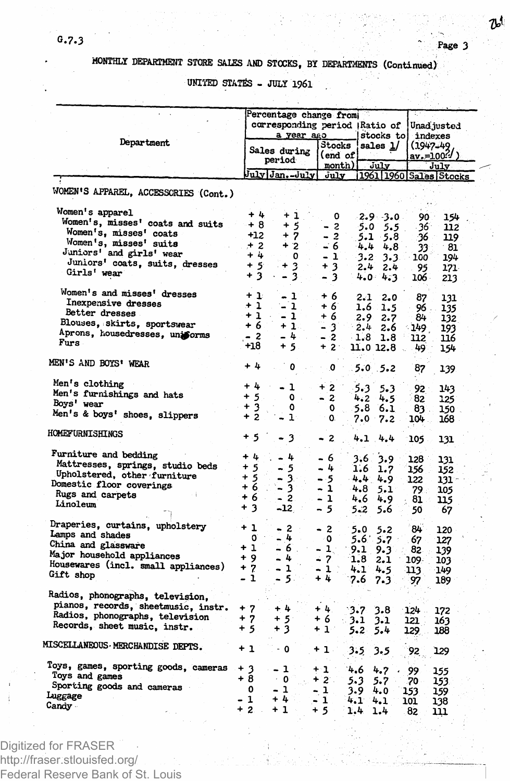ው

## **MONTHLY DEPARTMENT STORE SALES AND STOCKS, BY DEPARTMENTS (Continued)**

**UNITED STATfiS - JULY 1961**

|                                      | Percentage change from:<br>corresponding period (Ratio of<br>a year ago |                        |                             | stocks to                 |             | Unad justed<br>indexes         |  |
|--------------------------------------|-------------------------------------------------------------------------|------------------------|-----------------------------|---------------------------|-------------|--------------------------------|--|
| Department                           |                                                                         | Sales during<br>period | Stocks<br>(end of<br>month) | sales $1/$<br>July        |             | (1947-49<br>av.=1004/)<br>Julv |  |
|                                      |                                                                         | July Jan.-July         | July                        | 1961 1960 Sales Stocks    |             |                                |  |
| WOMEN'S APPAREL, ACCESSORIES (Cont.) |                                                                         |                        |                             |                           |             |                                |  |
| Women's apparel                      | + 4                                                                     | + 1                    | ٥                           | $-2.9 - 3.0$              | 90.         | 154                            |  |
| Women's, misses' coats and suits     | $+8$                                                                    | $+5$                   | - 2                         | 5.0<br>$5.5$ .            | -361        | 112                            |  |
| Women's, misses' coats               | +12                                                                     | $+7$                   | $-2$                        | 5.1<br>$-5.8$             | - 36        | 119                            |  |
| Women's, misses' suits               | $+2$                                                                    | $+2$                   | $-6$                        | 4.4<br>4.8                | 33          | - 81                           |  |
| Juniors' and girls' wear             | $+4$                                                                    | $\mathbf o$            | $-1$                        | 3.2<br>3.3                | 100         | 194                            |  |
| Juniors' coats, suits, dresses       | $+5$                                                                    | 3<br>4                 | + 3                         | 2.4<br>2.4                | 95          |                                |  |
| Girls' wear                          | $+3$                                                                    | - 3                    | - 3                         | 4.0<br>4.3                | 106.        | 171<br>213                     |  |
| Women's and misses' dresses          | $+1$                                                                    | $-1$                   | $+6$                        | 2.1<br>2.0                | 87          |                                |  |
| Inexpensive dresses                  | $+1$                                                                    | $-1$                   | + 6                         | 1.6<br>1.5                | 96.         | 131<br>135                     |  |
| Better dresses                       | $+1$                                                                    | $-1$                   | + 6                         | 2.9<br>2.7                | 84          | 132                            |  |
| Blouses, skirts, sportswear          | $+6$                                                                    | $+1$ .                 | - 3                         | 2.4<br>2.6                | - 149 -     | 193                            |  |
| Aprons, housedresses, uniforms       | $-2$                                                                    | $-4$                   | $-2$                        | $-1.8$<br>1.8             | 112         | 116                            |  |
| Furs                                 | $+18$                                                                   | $+5$                   | $+2$                        | 11.0 12.8                 | 49.         | 154                            |  |
| MEN'S AND BOYS' WEAR                 | + 4                                                                     | ٥                      | ∴ 0                         | $5.0 \t5.2$               | 87          | 139                            |  |
| Men's clothing                       | $+4$                                                                    | - 1                    | $+2$                        |                           |             |                                |  |
| Men's furnishings and hats           | $+5$                                                                    | $\bullet$              |                             | 5.3<br>$5 - 3$            | 92          | 143                            |  |
| Boys' wear                           | $+3$                                                                    | ٥                      | - 2                         | 4.2<br>4.5                | 82          | 125                            |  |
| Men's & boys' shoes, slippers        | $+2$                                                                    | ŀ                      | 0<br>0.                     | 5.8<br>6.1<br>$7.0$ $7.2$ | 83.<br>104. | 150<br>168                     |  |
| HOMEFURNISHINGS                      | + 5                                                                     | 3                      | $-2$                        | 4.1 4.4                   | 105         | 131                            |  |
| Furniture and bedding                | $+4$                                                                    | - 4                    |                             |                           |             |                                |  |
| Mattresses, springs, studio beds     | $+5$                                                                    |                        | - 6                         | 3.9<br>3,6                | 128 -       | 131                            |  |
| Upholstered, other furniture         | $+5$                                                                    | - 5                    | - 4                         | 1.6<br>1.7                | 156.        | 152                            |  |
| Domestic floor coverings             | $+6$                                                                    | - 3.                   | - 5                         | 4.4<br>4.9                | 122         | 131.                           |  |
| Rugs and carpets                     |                                                                         | - 31                   | $-1$                        | 4.8<br>5.1                | 79.         | 105                            |  |
| Linoleum                             | + 6<br>$+3$                                                             | $-2$<br>$-12$          | - 1<br>$-5$                 | $4.6 -$<br>4.9            | 81          | 115                            |  |
|                                      |                                                                         |                        |                             | 5.2<br>5.6                | 50          | 67                             |  |
| Draperies, curtains, upholstery      | + 1                                                                     | $-2$ $-$               | $-2$                        | 5.0<br>5.2                | 84          | 120                            |  |
| Lamps and shades                     | 0                                                                       | - 4                    | - 0                         | $5.6^{6}$ $5.7$           | 67          | 127                            |  |
| China and glassware                  | $+1$                                                                    | $-6.$                  | - 1 -                       | 9.1<br>9.3                | 82.         | 139                            |  |
| Major household appliances           | + 9                                                                     | $-4$                   | - 2                         | 1.8<br>2.1                | 109.        | 103                            |  |
| Housewares (incl. small appliances)  | $+7$                                                                    | $-1$                   | - 1 :                       | 4.1<br>4.5                | 113         | 149                            |  |
| Gift shop                            | - 1                                                                     | - 500                  | + 4                         | 7.6<br>7.3                | 97          | 189                            |  |
| Radios, phonographs, television,     |                                                                         |                        |                             |                           |             |                                |  |
| pianos, records, sheetmusic, instr.  | $+7$                                                                    | $+4$                   | $+4.$                       | 3.7<br>3.8                | 124         |                                |  |
| Radios, phonographs, television      | + 7                                                                     | + 5                    | + 6                         | - 3.1                     | 121.        | 172                            |  |
| Records, sheet music, instr.         | $+5$                                                                    | + 3                    | + 1*                        | 3.1<br>$5 - 2$<br>5.4     | 129         | 163<br>188                     |  |
|                                      |                                                                         |                        |                             |                           |             |                                |  |
| MISCELLANEOUS MERCHANDISE DEPTS.     | $+1$                                                                    | $\cdot$ 0              | +1.                         | 3.5<br>3.5                | 92          | 129                            |  |
| Toys, games, sporting goods, cameras | + 3                                                                     | - 1                    | $+1$                        | 4.6<br>4.7                | 99          | 155                            |  |
| Toys and games                       | + 8                                                                     | $\cdot$ 0              | $+2$ .                      | 5.3<br>5.7                | 70          | 153                            |  |
| Sporting goods and cameras           | $\mathbf{o}$                                                            | $-1$                   | - 1                         | 3.9<br>4.0                | 153.        | 159                            |  |
| Luggage                              | - 1                                                                     | + 4                    | $-1$                        | 4.1<br>4.1                | 101         | 138                            |  |
| Candy -                              | $+2.$                                                                   | $+1$                   | $+5$                        | 1.4<br>1.4                | 82          | 111                            |  |

Digitized for FRASER http://fraser.stlouisfed.org/ Federal Reserve Bank of St. Louis